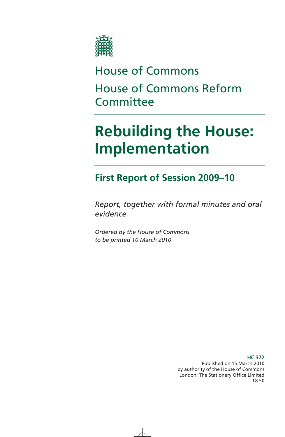

# House of Commons House of Commons Reform **Committee**

# **Rebuilding the House: Implementation**

## **First Report of Session 2009–10**

*Report, together with formal minutes and oral evidence* 

*Ordered by the House of Commons to be printed 10 March 2010* 

> Published on 15 March 2010 by authority of the House of Commons London: The Stationery Office Limited £8.50

### **HC 372**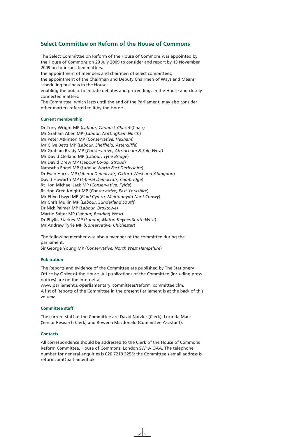### **Select Committee on Reform of the House of Commons**

The Select Committee on Reform of the House of Commons was appointed by the House of Commons on 20 July 2009 to consider and report by 13 November 2009 on four specified matters: the appointment of members and chairmen of select committees;

the appointment of the Chairman and Deputy Chairmen of Ways and Means; scheduling business in the House;

enabling the public to initiate debates and proceedings in the House and closely connected matters.

The Committee, which lasts until the end of the Parliament, may also consider other matters referred to it by the House.

### **Current membership**

Dr Tony Wright MP (*Labour, Cannock Chase*) (Chair) Mr Graham Allen MP (*Labour, Nottingham North*) Mr Peter Atkinson MP (*Conservative, Hexham*) Mr Clive Betts MP (*Labour, Sheffield, Attercliffe*) Mr Graham Brady MP (*Conservative, Altrincham & Sale West*) Mr David Clelland MP (*Labour, Tyne Bridge*) Mr David Drew MP (*Labour Co-op, Stroud*) Natascha Engel MP (*Labour, North East Derbyshire*) Dr Evan Harris MP (*Liberal Democrats, Oxford West and Abingdon*) David Howarth MP (*Liberal Democrats, Cambridge*) Rt Hon Michael Jack MP (*Conservative, Fylde*) Rt Hon Greg Knight MP (*Conservative, East Yorkshire*) Mr Elfyn Llwyd MP (*Plaid Cymru, Meirionnydd Nant Conwy*) Mr Chris Mullin MP (*Labour, Sunderland South*) Dr Nick Palmer MP (*Labour, Broxtowe*) Martin Salter MP (*Labour, Reading West*) Dr Phyllis Starkey MP (*Labour, Milton Keynes South West*) Mr Andrew Tyrie MP (*Conservative, Chichester*)

The following member was also a member of the committee during the parliament.

Sir George Young MP (*Conservative, North West Hampshire*)

### **Publication**

The Reports and evidence of the Committee are published by The Stationery Office by Order of the House. All publications of the Committee (including press notices) are on the Internet at

www.parliament.uk/parliamentary\_committees/reform\_committee.cfm. A list of Reports of the Committee in the present Parliament is at the back of this volume.

#### **Committee staff**

The current staff of the Committee are David Natzler (Clerk), Lucinda Maer (Senior Research Clerk) and Rowena Macdonald (Committee Assistant).

#### **Contacts**

All correspondence should be addressed to the Clerk of the House of Commons Reform Committee, House of Commons, London SW1A OAA. The telephone number for general enquiries is 020 7219 3255; the Committee's email address is reformcom@parliament.uk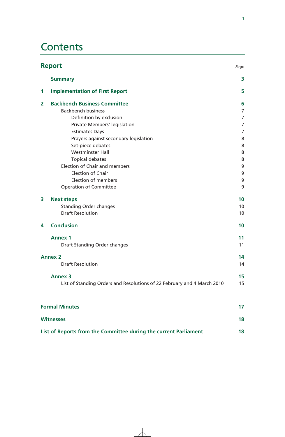## **Contents**

| <b>Report</b><br>Page                                            |                                                                         |    |  |
|------------------------------------------------------------------|-------------------------------------------------------------------------|----|--|
|                                                                  | <b>Summary</b>                                                          | 3  |  |
| 1                                                                | <b>Implementation of First Report</b>                                   | 5  |  |
| $\overline{2}$                                                   | <b>Backbench Business Committee</b>                                     | 6  |  |
|                                                                  | <b>Backbench business</b>                                               | 7  |  |
|                                                                  | Definition by exclusion                                                 | 7  |  |
|                                                                  | Private Members' legislation                                            | 7  |  |
|                                                                  | <b>Estimates Days</b>                                                   | 7  |  |
|                                                                  | Prayers against secondary legislation                                   | 8  |  |
|                                                                  | Set-piece debates                                                       | 8  |  |
|                                                                  | <b>Westminster Hall</b>                                                 | 8  |  |
|                                                                  | <b>Topical debates</b>                                                  | 8  |  |
|                                                                  | <b>Election of Chair and members</b>                                    | 9  |  |
|                                                                  | <b>Election of Chair</b>                                                | 9  |  |
|                                                                  | <b>Election of members</b>                                              | 9  |  |
|                                                                  | <b>Operation of Committee</b>                                           | 9  |  |
| 3                                                                | <b>Next steps</b>                                                       | 10 |  |
|                                                                  | <b>Standing Order changes</b>                                           | 10 |  |
|                                                                  | <b>Draft Resolution</b>                                                 | 10 |  |
| 4                                                                | <b>Conclusion</b>                                                       | 10 |  |
|                                                                  | <b>Annex 1</b>                                                          | 11 |  |
|                                                                  | Draft Standing Order changes                                            | 11 |  |
| <b>Annex 2</b>                                                   |                                                                         | 14 |  |
|                                                                  | <b>Draft Resolution</b>                                                 | 14 |  |
|                                                                  | <b>Annex 3</b>                                                          | 15 |  |
|                                                                  | List of Standing Orders and Resolutions of 22 February and 4 March 2010 | 15 |  |
|                                                                  | <b>Formal Minutes</b>                                                   | 17 |  |
| <b>Witnesses</b>                                                 |                                                                         |    |  |
|                                                                  |                                                                         |    |  |
| List of Reports from the Committee during the current Parliament |                                                                         |    |  |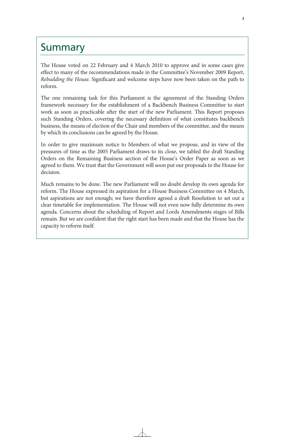## **Summary**

The House voted on 22 February and 4 March 2010 to approve and in some cases give effect to many of the recommendations made in the Committee's November 2009 Report, *Rebuilding the House.* Significant and welcome steps have now been taken on the path to reform.

The one remaining task for this Parliament is the agreement of the Standing Orders framework necessary for the establishment of a Backbench Business Committee to start work as soon as practicable after the start of the new Parliament. This Report proposes such Standing Orders, covering the necessary definition of what constitutes backbench business, the means of election of the Chair and members of the committee, and the means by which its conclusions can be agreed by the House.

In order to give maximum notice to Members of what we propose, and in view of the pressures of time as the 2005 Parliament draws to its close, we tabled the draft Standing Orders on the Remaining Business section of the House's Order Paper as soon as we agreed to them. We trust that the Government will soon put our proposals to the House for decision.

Much remains to be done. The new Parliament will no doubt develop its own agenda for reform. The House expressed its aspiration for a House Business Committee on 4 March, but aspirations are not enough; we have therefore agreed a draft Resolution to set out a clear timetable for implementation. The House will not even now fully determine its own agenda. Concerns about the scheduling of Report and Lords Amendments stages of Bills remain. But we are confident that the right start has been made and that the House has the capacity to reform itself.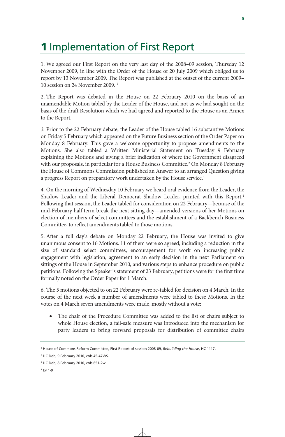## **1** Implementation of First Report

1. We agreed our First Report on the very last day of the 2008–09 session, Thursday 12 November 2009, in line with the Order of the House of 20 July 2009 which obliged us to report by 13 November 2009. The Report was published at the outset of the current 2009– 10 session on 24 November 2009. 1

2. The Report was debated in the House on 22 February 2010 on the basis of an unamendable Motion tabled by the Leader of the House, and not as we had sought on the basis of the draft Resolution which we had agreed and reported to the House as an Annex to the Report.

*3.* Prior to the 22 February debate, the Leader of the House tabled 16 substantive Motions on Friday 5 February which appeared on the Future Business section of the Order Paper on Monday 8 February. This gave a welcome opportunity to propose amendments to the Motions. She also tabled a Written Ministerial Statement on Tuesday 9 February explaining the Motions and giving a brief indication of where the Government disagreed with our proposals, in particular for a House Business Committee.<sup>2</sup> On Monday 8 February the House of Commons Commission published an Answer to an arranged Question giving a progress Report on preparatory work undertaken by the House service.<sup>3</sup>

4. On the morning of Wednesday 10 February we heard oral evidence from the Leader, the Shadow Leader and the Liberal Democrat Shadow Leader, printed with this Report.<sup>4</sup> Following that session, the Leader tabled for consideration on 22 February—because of the mid-February half term break the next sitting day—amended versions of her Motions on election of members of select committees and the establishment of a Backbench Business Committee, to reflect amendments tabled to those motions.

5. After a full day's debate on Monday 22 February, the House was invited to give unanimous consent to 16 Motions. 11 of them were so agreed, including a reduction in the size of standard select committees, encouragement for work on increasing public engagement with legislation, agreement to an early decision in the next Parliament on sittings of the House in September 2010, and various steps to enhance procedure on public petitions. Following the Speaker's statement of 23 February, petitions were for the first time formally noted on the Order Paper for 1 March.

6. The 5 motions objected to on 22 February were re-tabled for decision on 4 March. In the course of the next week a number of amendments were tabled to these Motions. In the votes on 4 March seven amendments were made, mostly without a vote:

• The chair of the Procedure Committee was added to the list of chairs subject to whole House election, a fail-safe measure was introduced into the mechanism for party leaders to bring forward proposals for distribution of committee chairs

<sup>1</sup> House of Commons Reform Committee, First Report of session 2008-09, *Rebuilding the House*, HC 1117.

<sup>2</sup> HC Deb, 9 February 2010, cols 45-47WS.

<sup>3</sup> HC Deb, 8 February 2010, cols 651-2w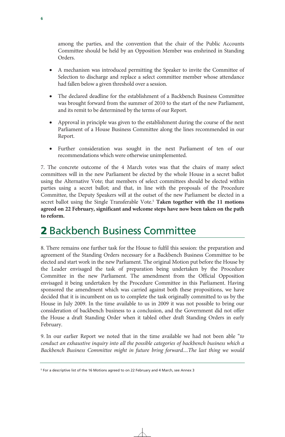among the parties, and the convention that the chair of the Public Accounts Committee should be held by an Opposition Member was enshrined in Standing Orders.

- A mechanism was introduced permitting the Speaker to invite the Committee of Selection to discharge and replace a select committee member whose attendance had fallen below a given threshold over a session.
- The declared deadline for the establishment of a Backbench Business Committee was brought forward from the summer of 2010 to the start of the new Parliament, and its remit to be determined by the terms of our Report.
- Approval in principle was given to the establishment during the course of the next Parliament of a House Business Committee along the lines recommended in our Report.
- Further consideration was sought in the next Parliament of ten of our recommendations which were otherwise unimplemented.

7. The concrete outcome of the 4 March votes was that the chairs of many select committees will in the new Parliament be elected by the whole House in a secret ballot using the Alternative Vote; that members of select committees should be elected within parties using a secret ballot; and that, in line with the proposals of the Procedure Committee, the Deputy Speakers will at the outset of the new Parliament be elected in a secret ballot using the Single Transferable Vote.<sup>5</sup> Taken together with the 11 motions **agreed on 22 February, significant and welcome steps have now been taken on the path to reform.** 

## 2 Backbench Business Committee

8. There remains one further task for the House to fulfil this session: the preparation and agreement of the Standing Orders necessary for a Backbench Business Committee to be elected and start work in the new Parliament. The original Motion put before the House by the Leader envisaged the task of preparation being undertaken by the Procedure Committee in the new Parliament. The amendment from the Official Opposition envisaged it being undertaken by the Procedure Committee in this Parliament. Having sponsored the amendment which was carried against both these propositions, we have decided that it is incumbent on us to complete the task originally committed to us by the House in July 2009. In the time available to us in 2009 it was not possible to bring our consideration of backbench business to a conclusion, and the Government did not offer the House a draft Standing Order when it tabled other draft Standing Orders in early February.

9. In our earlier Report we noted that in the time available we had not been able "*to conduct an exhaustive inquiry into all the possible categories of backbench business which a Backbench Business Committee might in future bring forward....The last thing we would* 

<sup>5</sup> For a descriptive list of the 16 Motions agreed to on 22 February and 4 March, see Annex 3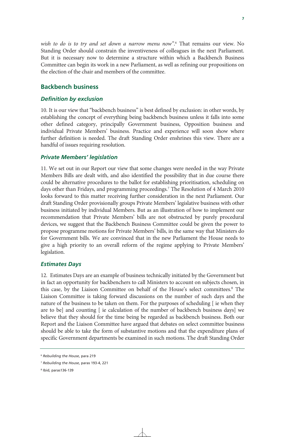*wish to do is to try and set down a narrow menu now"*. 6 That remains our view. No Standing Order should constrain the inventiveness of colleagues in the next Parliament. But it is necessary now to determine a structure within which a Backbench Business Committee can begin its work in a new Parliament, as well as refining our propositions on the election of the chair and members of the committee.

### **Backbench business**

### *Definition by exclusion*

10. It is our view that "backbench business" is best defined by exclusion: in other words, by establishing the concept of everything being backbench business unless it falls into some other defined category, principally Government business, Opposition business and individual Private Members' business. Practice and experience will soon show where further definition is needed. The draft Standing Order enshrines this view. There are a handful of issues requiring resolution.

### *Private Members' legislation*

11. We set out in our Report our view that some changes were needed in the way Private Members Bills are dealt with, and also identified the possibility that in due course there could be alternative procedures to the ballot for establishing prioritisation, scheduling on days other than Fridays, and programming proceedings.7 The Resolution of 4 March 2010 looks forward to this matter receiving further consideration in the next Parliament. Our draft Standing Order provisionally groups Private Members' legislative business with other business initiated by individual Members. But as an illustration of how to implement our recommendation that Private Members' bills are not obstructed by purely procedural devices, we suggest that the Backbench Business Committee could be given the power to propose programme motions for Private Members' bills, in the same way that Ministers do for Government bills. We are convinced that in the new Parliament the House needs to give a high priority to an overall reform of the regime applying to Private Members' legislation.

### *Estimates Days*

12. Estimates Days are an example of business technically initiated by the Government but in fact an opportunity for backbenchers to call Ministers to account on subjects chosen, in this case, by the Liaison Committee on behalf of the House's select committees.<sup>8</sup> The Liaison Committee is taking forward discussions on the number of such days and the nature of the business to be taken on them. For the purposes of scheduling [ ie when they are to be] and counting [ ie calculation of the number of backbench business days] we believe that they should for the time being be regarded as backbench business. Both our Report and the Liaison Committee have argued that debates on select committee business should be able to take the form of substantive motions and that the expenditure plans of specific Government departments be examined in such motions. The draft Standing Order

<sup>6</sup> *Rebuilding the House*, para 219

<sup>7</sup> *Rebuilding the House*, paras 193-4, 221

<sup>8</sup> Ibid, paras136-139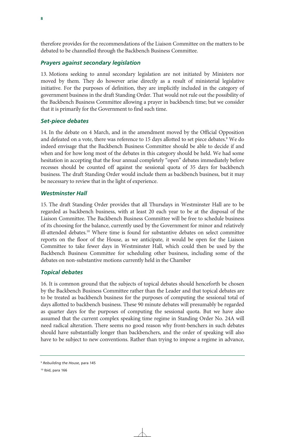therefore provides for the recommendations of the Liaison Committee on the matters to be debated to be channelled through the Backbench Business Committee.

### *Prayers against secondary legislation*

13. Motions seeking to annul secondary legislation are not initiated by Ministers nor moved by them. They do however arise directly as a result of ministerial legislative initiative. For the purposes of definition, they are implicitly included in the category of government business in the draft Standing Order. That would not rule out the possibility of the Backbench Business Committee allowing a prayer in backbench time; but we consider that it is primarily for the Government to find such time.

### *Set-piece debates*

14. In the debate on 4 March, and in the amendment moved by the Official Opposition and defeated on a vote, there was reference to 15 days allotted to set piece debates.<sup>9</sup> We do indeed envisage that the Backbench Business Committee should be able to decide if and when and for how long most of the debates in this category should be held. We had some hesitation in accepting that the four annual completely "open" debates immediately before recesses should be counted off against the sessional quota of 35 days for backbench business. The draft Standing Order would include them as backbench business, but it may be necessary to review that in the light of experience.

### *Westminster Hall*

15. The draft Standing Order provides that all Thursdays in Westminster Hall are to be regarded as backbench business, with at least 20 each year to be at the disposal of the Liaison Committee. The Backbench Business Committee will be free to schedule business of its choosing for the balance, currently used by the Government for minor and relatively ill-attended debates.<sup>10</sup> Where time is found for substantive debates on select committee reports on the floor of the House, as we anticipate, it would be open for the Liaison Committee to take fewer days in Westminster Hall, which could then be used by the Backbench Business Committee for scheduling other business, including some of the debates on non-substantive motions currently held in the Chamber

### *Topical debates*

16. It is common ground that the subjects of topical debates should henceforth be chosen by the Backbench Business Committee rather than the Leader and that topical debates are to be treated as backbench business for the purposes of computing the sessional total of days allotted to backbench business. These 90 minute debates will presumably be regarded as quarter days for the purposes of computing the sessional quota. But we have also assumed that the current complex speaking time regime in Standing Order No. 24A will need radical alteration. There seems no good reason why front-benchers in such debates should have substantially longer than backbenchers, and the order of speaking will also have to be subject to new conventions. Rather than trying to impose a regime in advance,

<sup>9</sup> *Rebuilding the House*, para 145

<sup>10</sup> Ibid, para 166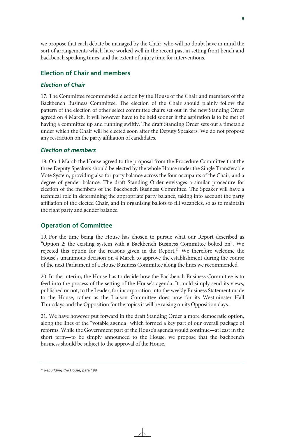we propose that each debate be managed by the Chair, who will no doubt have in mind the sort of arrangements which have worked well in the recent past in setting front bench and backbench speaking times, and the extent of injury time for interventions.

### **Election of Chair and members**

### *Election of Chair*

17. The Committee recommended election by the House of the Chair and members of the Backbench Business Committee. The election of the Chair should plainly follow the pattern of the election of other select committee chairs set out in the new Standing Order agreed on 4 March. It will however have to be held sooner if the aspiration is to be met of having a committee up and running swiftly. The draft Standing Order sets out a timetable under which the Chair will be elected soon after the Deputy Speakers. We do not propose any restriction on the party affiliation of candidates.

### *Election of members*

18. On 4 March the House agreed to the proposal from the Procedure Committee that the three Deputy Speakers should be elected by the whole House under the Single Transferable Vote System, providing also for party balance across the four occupants of the Chair, and a degree of gender balance. The draft Standing Order envisages a similar procedure for election of the members of the Backbench Business Committee. The Speaker will have a technical role in determining the appropriate party balance, taking into account the party affiliation of the elected Chair, and in organising ballots to fill vacancies, so as to maintain the right party and gender balance.

### **Operation of Committee**

19. For the time being the House has chosen to pursue what our Report described as "Option 2: the existing system with a Backbench Business Committee bolted on". We rejected this option for the reasons given in the Report.<sup>11</sup> We therefore welcome the House's unanimous decision on 4 March to approve the establishment during the course of the next Parliament of a House Business Committee along the lines we recommended.

20. In the interim, the House has to decide how the Backbench Business Committee is to feed into the process of the setting of the House's agenda. It could simply send its views, published or not, to the Leader, for incorporation into the weekly Business Statement made to the House, rather as the Liaison Committee does now for its Westminster Hall Thursdays and the Opposition for the topics it will be raising on its Opposition days.

21. We have however put forward in the draft Standing Order a more democratic option, along the lines of the "votable agenda" which formed a key part of our overall package of reforms. While the Government part of the House's agenda would continue—at least in the short term—to be simply announced to the House, we propose that the backbench business should be subject to the approval of the House.

<sup>11</sup> *Rebuilding the House*, para 198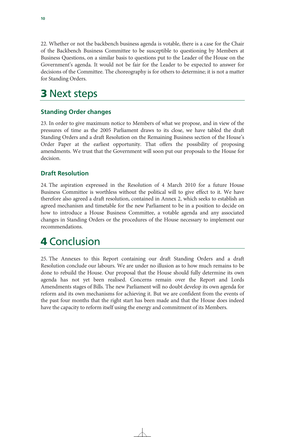22. Whether or not the backbench business agenda is votable, there is a case for the Chair of the Backbench Business Committee to be susceptible to questioning by Members at Business Questions, on a similar basis to questions put to the Leader of the House on the Government's agenda. It would not be fair for the Leader to be expected to answer for decisions of the Committee. The choreography is for others to determine; it is not a matter for Standing Orders.

## 3 Next steps

## **Standing Order changes**

23. In order to give maximum notice to Members of what we propose, and in view of the pressures of time as the 2005 Parliament draws to its close, we have tabled the draft Standing Orders and a draft Resolution on the Remaining Business section of the House's Order Paper at the earliest opportunity. That offers the possibility of proposing amendments. We trust that the Government will soon put our proposals to the House for decision.

## **Draft Resolution**

24. The aspiration expressed in the Resolution of 4 March 2010 for a future House Business Committee is worthless without the political will to give effect to it. We have therefore also agreed a draft resolution, contained in Annex 2, which seeks to establish an agreed mechanism and timetable for the new Parliament to be in a position to decide on how to introduce a House Business Committee, a votable agenda and any associated changes in Standing Orders or the procedures of the House necessary to implement our recommendations.

## 4 Conclusion

25. The Annexes to this Report containing our draft Standing Orders and a draft Resolution conclude our labours. We are under no illusion as to how much remains to be done to rebuild the House. Our proposal that the House should fully determine its own agenda has not yet been realised. Concerns remain over the Report and Lords Amendments stages of Bills. The new Parliament will no doubt develop its own agenda for reform and its own mechanisms for achieving it. But we are confident from the events of the past four months that the right start has been made and that the House does indeed have the capacity to reform itself using the energy and commitment of its Members.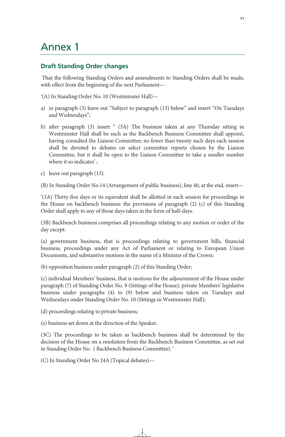## Annex 1

## **Draft Standing Order changes**

 That the following Standing Orders and amendments to Standing Orders shall be made, with effect from the beginning of the next Parliament—

'(A) In Standing Order No. 10 (Westminster Hall)—

- a) in paragraph (3) leave out "Subject to paragraph (13) below" and insert "On Tuesdays and Wednesdays";
- b) after paragraph (3) insert " (3A) The business taken at any Thursday sitting in Westminster Hall shall be such as the Backbench Business Committee shall appoint, having consulted the Liaison Committee; no fewer than twenty such days each session shall be devoted to debates on select committee reports chosen by the Liaison Committee, but it shall be open to the Liaison Committee to take a smaller number where it so indicates';
- c) leave out paragraph (13).

(B) In Standing Order No.14 (Arrangement of public business), line 40, at the end, insert—

'(3A) Thirty-five days or its equivalent shall be allotted in each session for proceedings in the House on backbench business: the provisions of paragraph (2) (c) of this Standing Order shall apply to any of those days taken in the form of half-days.

(3B) Backbench business comprises all proceedings relating to any motion or order of the day except:

(a) government business, that is proceedings relating to government bills, financial business, proceedings under any Act of Parliament or relating to European Union Documents, and substantive motions in the name of a Minister of the Crown;

(b) opposition business under paragraph (2) of this Standing Order;

(c) individual Members' business, that is motions for the adjournment of the House under paragraph (7) of Standing Order No. 9 (Sittings of the House)*,* private Members' legislative business under paragraphs (4) to (9) below and business taken on Tuesdays and Wednesdays under Standing Order No. 10 (Sittings in Westminster Hall);

(d) proceedings relating to private business;

(e) business set down at the direction of the Speaker.

(3C) The proceedings to be taken as backbench business shall be determined by the decision of the House on a resolution from the Backbench Business Committee, as set out in Standing Order No. ( Backbench Business Committee). '

(C) In Standing Order No 24A (Topical debates)—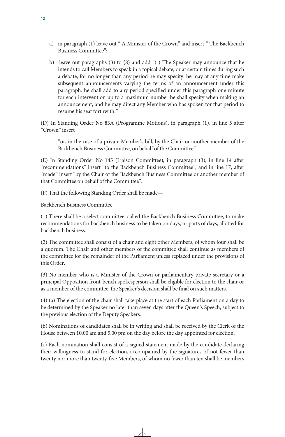- a) in paragraph (1) leave out " A Minister of the Crown" and insert " The Backbench Business Committee":
- b) leave out paragraphs (3) to (8) and add "( ) The Speaker may announce that he intends to call Members to speak in a topical debate, or at certain times during such a debate, for no longer than any period he may specify: he may at any time make subsequent announcements varying the terms of an announcement under this paragraph: he shall add to any period specified under this paragraph one minute for each intervention up to a maximum number he shall specify when making an announcement; and he may direct any Member who has spoken for that period to resume his seat forthwith."

(D) In Standing Order No 83A (Programme Motions), in paragraph (1), in line 5 after "Crown" insert

"or, in the case of a private Member's bill, by the Chair or another member of the Backbench Business Committee, on behalf of the Committee".

(E) In Standing Order No 145 (Liaison Committee), in paragraph (3), in line 14 after "recommendations" insert "to the Backbench Business Committee"; and in line 17, after "made" insert "by the Chair of the Backbench Business Committee or another member of that Committee on behalf of the Committee".

(F) That the following Standing Order shall be made—

Backbench Business Committee

(1) There shall be a select committee, called the Backbench Business Committee, to make recommendations for backbench business to be taken on days, or parts of days, allotted for backbench business.

(2) The committee shall consist of a chair and eight other Members, of whom four shall be a quorum. The Chair and other members of the committee shall continue as members of the committee for the remainder of the Parliament unless replaced under the provisions of this Order.

(3) No member who is a Minister of the Crown or parliamentary private secretary or a principal Opposition front-bench spokesperson shall be eligible for election to the chair or as a member of the committee: the Speaker's decision shall be final on such matters.

(4) (a) The election of the chair shall take place at the start of each Parliament on a day to be determined by the Speaker no later than seven days after the Queen's Speech, subject to the previous election of the Deputy Speakers.

(b) Nominations of candidates shall be in writing and shall be received by the Clerk of the House between 10.00 am and 5.00 pm on the day before the day appointed for election.

(c) Each nomination shall consist of a signed statement made by the candidate declaring their willingness to stand for election, accompanied by the signatures of not fewer than twenty nor more than twenty-five Members, of whom no fewer than ten shall be members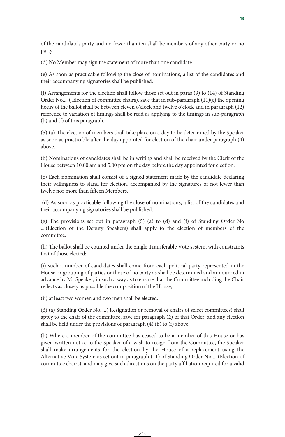of the candidate's party and no fewer than ten shall be members of any other party or no party.

(d) No Member may sign the statement of more than one candidate.

(e) As soon as practicable following the close of nominations, a list of the candidates and their accompanying signatories shall be published.

(f) Arrangements for the election shall follow those set out in paras (9) to (14) of Standing Order No.... ( Election of committee chairs), save that in sub-paragraph (11)(e) the opening hours of the ballot shall be between eleven o'clock and twelve o'clock and in paragraph (12) reference to variation of timings shall be read as applying to the timings in sub-paragraph (b) and (f) of this paragraph.

(5) (a) The election of members shall take place on a day to be determined by the Speaker as soon as practicable after the day appointed for election of the chair under paragraph (4) above.

(b) Nominations of candidates shall be in writing and shall be received by the Clerk of the House between 10.00 am and 5.00 pm on the day before the day appointed for election.

(c) Each nomination shall consist of a signed statement made by the candidate declaring their willingness to stand for election, accompanied by the signatures of not fewer than twelve nor more than fifteen Members.

 (d) As soon as practicable following the close of nominations, a list of the candidates and their accompanying signatories shall be published.

(g) The provisions set out in paragraph (5) (a) to (d) and (f) of Standing Order No ....(Election of the Deputy Speakers) shall apply to the election of members of the committee.

(h) The ballot shall be counted under the Single Transferable Vote system, with constraints that of those elected:

(i) such a number of candidates shall come from each political party represented in the House or grouping of parties or those of no party as shall be determined and announced in advance by Mr Speaker, in such a way as to ensure that the Committee including the Chair reflects as closely as possible the composition of the House,

(ii) at least two women and two men shall be elected.

(6) (a) Standing Order No.....( Resignation or removal of chairs of select committees) shall apply to the chair of the committee, save for paragraph (2) of that Order; and any election shall be held under the provisions of paragraph (4) (b) to (f) above.

(b) Where a member of the committee has ceased to be a member of this House or has given written notice to the Speaker of a wish to resign from the Committee, the Speaker shall make arrangements for the election by the House of a replacement using the Alternative Vote System as set out in paragraph (11) of Standing Order No ....(Election of committee chairs), and may give such directions on the party affiliation required for a valid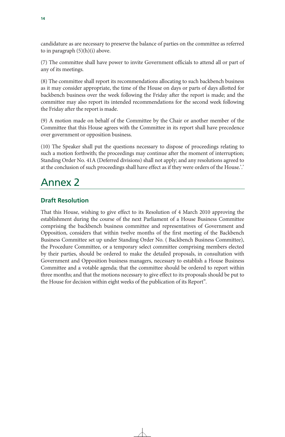candidature as are necessary to preserve the balance of parties on the committee as referred to in paragraph  $(5)(h)(i)$  above.

(7) The committee shall have power to invite Government officials to attend all or part of any of its meetings.

(8) The committee shall report its recommendations allocating to such backbench business as it may consider appropriate, the time of the House on days or parts of days allotted for backbench business over the week following the Friday after the report is made; and the committee may also report its intended recommendations for the second week following the Friday after the report is made.

(9) A motion made on behalf of the Committee by the Chair or another member of the Committee that this House agrees with the Committee in its report shall have precedence over government or opposition business.

(10) The Speaker shall put the questions necessary to dispose of proceedings relating to such a motion forthwith; the proceedings may continue after the moment of interruption; Standing Order No. 41A (Deferred divisions) shall not apply; and any resolutions agreed to at the conclusion of such proceedings shall have effect as if they were orders of the House.'.'

## Annex 2

## **Draft Resolution**

That this House, wishing to give effect to its Resolution of 4 March 2010 approving the establishment during the course of the next Parliament of a House Business Committee comprising the backbench business committee and representatives of Government and Opposition, considers that within twelve months of the first meeting of the Backbench Business Committee set up under Standing Order No. ( Backbench Business Committee), the Procedure Committee, or a temporary select committee comprising members elected by their parties, should be ordered to make the detailed proposals, in consultation with Government and Opposition business managers, necessary to establish a House Business Committee and a votable agenda; that the committee should be ordered to report within three months; and that the motions necessary to give effect to its proposals should be put to the House for decision within eight weeks of the publication of its Report".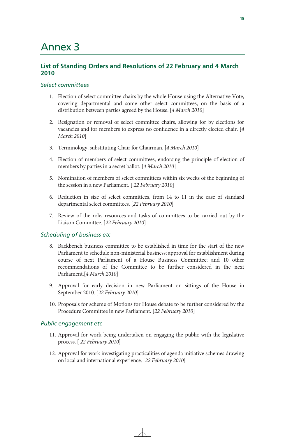## Annex 3

### **List of Standing Orders and Resolutions of 22 February and 4 March 2010**

### *Select committees*

- 1. Election of select committee chairs by the whole House using the Alternative Vote, covering departmental and some other select committees, on the basis of a distribution between parties agreed by the House. [*4 March 2010*]
- 2. Resignation or removal of select committee chairs, allowing for by elections for vacancies and for members to express no confidence in a directly elected chair. [*4 March 2010*]
- 3. Terminology, substituting Chair for Chairman. [*4 March 2010*]
- 4. Election of members of select committees, endorsing the principle of election of members by parties in a secret ballot. [*4 March 2010*]
- 5. Nomination of members of select committees within six weeks of the beginning of the session in a new Parliament. [ *22 February 2010*]
- 6. Reduction in size of select committees, from 14 to 11 in the case of standard departmental select committees. [*22 February 2010*]
- 7. Review of the role, resources and tasks of committees to be carried out by the Liaison Committee. [*22 February 2010*]

### *Scheduling of business etc*

- 8. Backbench business committee to be established in time for the start of the new Parliament to schedule non-ministerial business; approval for establishment during course of next Parliament of a House Business Committee; and 10 other recommendations of the Committee to be further considered in the next Parliament.[*4 March 2010*]
- 9. Approval for early decision in new Parliament on sittings of the House in September 2010. [*22 February 2010*]
- 10. Proposals for scheme of Motions for House debate to be further considered by the Procedure Committee in new Parliament. [*22 February 2010*]

### *Public engagement etc*

- 11. Approval for work being undertaken on engaging the public with the legislative process. [ *22 February 2010*]
- 12. Approval for work investigating practicalities of agenda initiative schemes drawing on local and international experience. [*22 February 2010*]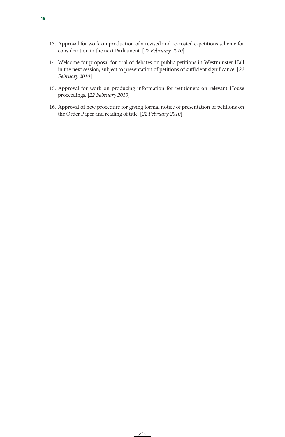- 13. Approval for work on production of a revised and re-costed e-petitions scheme for consideration in the next Parliament. [*22 February 2010*]
- 14. Welcome for proposal for trial of debates on public petitions in Westminster Hall in the next session, subject to presentation of petitions of sufficient significance. [*22 February 2010*]
- 15. Approval for work on producing information for petitioners on relevant House proceedings. [*22 February 2010*]
- 16. Approval of new procedure for giving formal notice of presentation of petitions on the Order Paper and reading of title. [*22 February 2010*]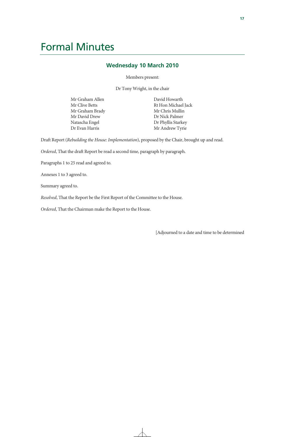## Formal Minutes

### **Wednesday 10 March 2010**

Members present:

Dr Tony Wright, in the chair

Mr Graham Allen Mr Clive Betts Mr Graham Brady Mr David Drew Natascha Engel Dr Evan Harris

David Howarth Rt Hon Michael Jack Mr Chris Mullin Dr Nick Palmer Dr Phyllis Starkey Mr Andrew Tyrie

Draft Report (*Rebuilding the House: Implementation*), proposed by the Chair, brought up and read.

*Ordered*, That the draft Report be read a second time, paragraph by paragraph.

Paragraphs 1 to 25 read and agreed to.

Annexes 1 to 3 agreed to.

Summary agreed to.

*Resolved*, That the Report be the First Report of the Committee to the House.

*Ordered*, That the Chairman make the Report to the House.

[Adjourned to a date and time to be determined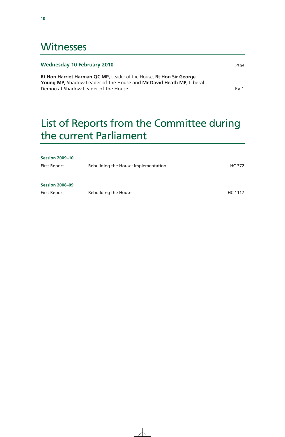## **Witnesses**

### **Wednesday 10 February 2010** *Page*

**Rt Hon Harriet Harman QC MP,** Leader of the House, **Rt Hon Sir George Young MP**, Shadow Leader of the House and **Mr David Heath MP**, Liberal Democrat Shadow Leader of the House Ev 1 and the House Ev 1

## List of Reports from the Committee during the current Parliament

| <b>Session 2009-10</b> |                                      |         |
|------------------------|--------------------------------------|---------|
| First Report           | Rebuilding the House: Implementation | HC 372  |
|                        |                                      |         |
| <b>Session 2008-09</b> |                                      |         |
| <b>First Report</b>    | Rebuilding the House                 | HC 1117 |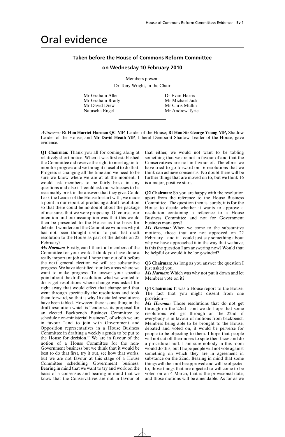## Oral evidence

### **Taken before the House of Commons Reform Committee**

### **on Wednesday 10 February 2010**

Members present

Dr Tony Wright, in the Chair

Mr Graham Allen Dr Evan Harris Mr Graham Brady Mr Michael Jack Mr David Drew Mr Chris Mullin Natascha Engel Mr Andrew Tyrie

*Witnesses:* **Rt Hon Harriet Harman QC MP**, Leader of the House; **Rt Hon Sir George Young MP,** Shadow Leader of the House; and **Mr David Heath MP**, Liberal Democrat Shadow Leader of the House, gave evidence.

**Q1 Chairman:** Thank you all for coming along at relatively short notice. When it was first established the Committee did reserve the right to meet again to monitor progress and we thought it useful to do that. Progress is changing all the time and we need to be sure we know where we are at at the moment. I would ask members to be fairly brisk in any questions and also if I could ask our witnesses to be reasonably brisk in the answers that they give. Could I ask the Leader of the House to start with, we made a point in our report of producing a draft resolution so that there could be no doubt about the package of measures that we were proposing. Of course, our intention and our assumption was that this would then be presented to the House as the basis for debate. I wonder and the Committee wonders why it has not been thought useful to put that draft resolution to the House as part of the debate on 22 February?

*Ms Harman:* Firstly, can I thank all members of the Committee for your work. I think you have done a really important job and I hope that out of it before the next general election we will see substantive progress. We have identified four key areas where we want to make progress. To answer your specific point about the draft resolution, what we wanted to do is get resolutions where change was asked for right away that would effect that change and that went through specifically the resolutions and took them forward, so that is why 16 detailed resolutions have been tabled. However, there is one thing in the draft resolution which is "endorses its proposal for an elected Backbench Business Committee to schedule non-ministerial business", of which we are in favour "and to join with Government and Opposition representatives in a House Business Committee in drafting a weekly agenda to be put to the House for decision." We are in favour of the notion of a House Committee for the non-Government business but we think that it would be best to do that first, try it out, see how that works, but we are not favour at this stage of a House Committee scheduling Government business. Bearing in mind that we want to try and work on the basis of a consensus and bearing in mind that we know that the Conservatives are not in favour of that either, we would not want to be tabling something that we are not in favour of and that the Conservatives are not in favour of. Therefore, we have tried to go forward on 16 resolutions that we think can achieve consensus. No doubt there will be further things that are moved on to, but we think 16 is a major, positive start.

**Q2 Chairman:** So you are happy with the resolution apart from the reference to the House Business Committee. The question then is: surely, it is for the House to decide whether it wants to approve a resolution containing a reference to a House Business Committee and not for Government business managers?

*Ms Harman:* When we come to the substantive motions, those that are not approved on 22 February—and if I could just say something about why we have approached it in the way that we have; is this the question I am answering now? Would that be helpful or would it be long-winded?

**Q3 Chairman:** As long as you answer the question I just asked you.

*Ms Harman:* Which was why not put it down and let Members vote on it?

**Q4 Chairman:** It was a House report to the House. The fact that you might dissent from one provision—

*Ms Harman:* Those resolutions that do not get through on the 22nd—and we do hope that some resolutions will get through on the 22nd—if everybody is in favour of motions from backbench Members being able to be brought to the House, debated and voted on, it would be perverse for people to be objecting to them. I hope that people will not cut off their noses to spite their faces and do a procedural huff. I am sure nobody in this room would do this, but I hope people will not vote against something on which they are in agreement in substance on the 22nd. Bearing in mind that some things will then not be approved and will be objected to, those things that are objected to will come to be voted on on 4 March, that is the provisional date, and those motions will be amendable. As far as we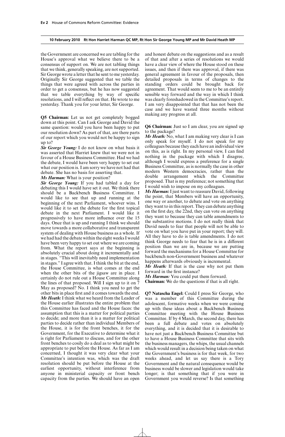the Government are concerned we are tabling for the House's approval what we believe there to be a consensus of support on. We are not tabling things that we think, generally speaking, are not supported. Sir George wrote a letter that he sent to me yesterday. Originally Sir George suggested that we table the things that were agreed with across the parties in order to get a consensus, but he has now suggested that we table everything by way of specific resolutions, and I will reflect on that. He wrote to me yesterday. Thank you for your letter, Sir George.

**Q5 Chairman:** Let us not get completely bogged down at this point. Can I ask George and David the same question: would you have been happy to put our resolution down? As part of that, are there parts of our report which you would not be happy to sign up to?

*Sir George Young:* I do not know on what basis it was asserted that Harriet knew that we were not in favour of a House Business Committee. Had we had the debate, I would have been very happy to set out what our position is. I am sorry we have not had that debate. She has no basis for asserting that.

*Ms Harman:* What is your position?

*Sir George Young:* If you had tabled a day for debating this I would have set it out. We think there should be a Backbench Business Committee. I would like to see that up and running at the beginning of the next Parliament, whoever wins. I would like it to set the debate for the first topical debate in the next Parliament. I would like it progressively to have more influence over the 15 days. Once that is up and running I think we should move towards a more collaborative and transparent system of dealing with House business as a whole. If we had had the debate within the eight weeks I would have been very happy to set out where we are coming from. What the report says at the beginning is absolutely crucial about doing it incrementally and in stages. "This will inevitably need implementation in stages." I agree with that. I think the bit at the end, the House Committee, is what comes at the end when the other bits of the jigsaw are in place. I certainly do not rule out a House Committee along the lines of that proposed. Will I sign up to it on 7 May as proposed? No. I think you need to get the other bits in place first and it comes towards the end. *Mr Heath:* I think what we heard from the Leader of the House earlier illustrates the entire problem that this Committee has faced and the House faces: the assumption that this is a matter for political parties to decide; and more than it is a matter for political parties to decide rather than individual Members of the House, it is for the front benches, it for the Government, for the Executive to determine what it is right for Parliament to discuss, and for the other front benches to cosily do a deal as to what might be appropriate to put before the House. As far as I am concerned, I thought it was very clear what your Committee's intention was, which was the draft resolution should be put before the House at the earliest opportunity, without interference from anyone in ministerial capacity or front bench capacity from the parties. We should have an open

and honest debate on the suggestions and as a result of that and after a series of resolutions we would have a clear view of where the House stood on these issues, and then if there was approval, if there was general agreement in favour of the proposals, then detailed proposals in terms of changes to the standing orders could be brought back for agreement. That would seem to me to be an entirely sensible way forward and the way in which I think was clearly foreshadowed in the Committee's report. I am very disappointed that that has not been the case and we have wasted three months without making any progress at all.

**Q6 Chairman:** Just so I am clear, you are signed up to the package?

*Mr Heath:* No, what I am making very clear is I can only speak for myself. I do not speak for my colleagues because they each have an individual view on this, as is right. In my personal view, I can find nothing in the package with which I disagree, although I would express a preference for a single Business Committee, as is normally the case in other modern Western democracies, rather than the double arrangement which the Committee proposed. That is my preference; not something that I would wish to impose on my colleagues.

*Ms Harman:*I just want to reassure David, following the point, that Members will have an opportunity, one way or another, to debate and vote on anything they want to in this report. They can debate anything on the first day, the 22nd, they can vote on anything they want to because they can table amendments to the substantive motions. I do not really think that David needs to fear that people will not be able to vote on what you have put in your report; they will. All they have to do is table amendments. I do not think George needs to fear that he is in a different position than we are in, because we are putting forward the mechanisms for a House Committee for backbench non-Government business and whatever happens afterwards obviously is incremental.

*Mr Heath:* If that is the case why not put them forward in the first instance?

*Ms Harman:* You could put them forward.

**Chairman:** We do the questions if that is all right.

**Q7 Natascha Engel:** Could I press Sir George, who was a member of this Committee during the adolescent, formative weeks when we were coming up with these ideas about a Backbench Business Committee meeting with the House Business Committee. If by 4 March, the second day, there has been a full debate and votes on absolutely everything, and it is decided that it is desirable to have not just a Backbench Business Committee but to have a House Business Committee that sits with the business managers, the whips, the usual channels which would result in a decision being taken on what the Government's business is for that week, for two weeks ahead, and let us say there is a Tory Government and the natural consequence would be business would be slower and legislation would take longer; is that something that if you were in Government you would reverse? Is that something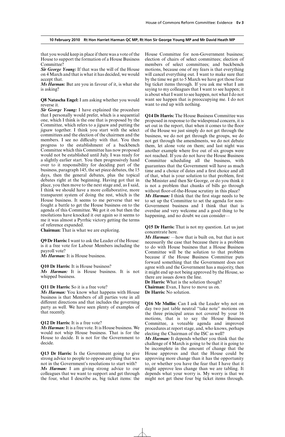that you would keep in place if there was a vote of the House to support the formation of a House Business Committee?

*Sir George Young:* If that was the will of the House on 4 March and that is what it has decided, we would accept that.

*Ms Harman:* But are you in favour of it, is what she is asking?

**Q8 Natascha Engel:** I am asking whether you would reverse it.

*Sir George Young:* I have explained the procedure that I personally would prefer, which is a sequential one, which I think is the one that is proposed by the Committee, which refers to a jigsaw and putting the jigsaw together. I think you start with the select committees and the election of the chairmen and the members. I see no difficulty with that. You then progress to the establishment of a backbench Committee which this Committee has now proposed would not be established until July. I was ready for a slightly earlier start. You then progressively hand over to it responsibility for deciding part of the business, paragraph 145, the set piece debates, the 15 days, then the general debates, plus the topical debates right at the beginning. Having got that in place, you then move to the next stage and, as I said, I think we should have a more collaborative, more transparent system of doing the rest, which is the House business. It seems to me perverse that we fought a battle to get the House business on to the agenda of this Committee. We got it on but then the resolutions have knocked it out again so it seems to me it was almost a Pyrrhic victory getting the terms of reference expanded.

**Chairman:** That is what we are exploring.

**Q9 Dr Harris:**I want to ask the Leader of the House: is it a free vote for Labour Members including the payroll vote?

*Ms Harman:* It is House business.

#### **Q10 Dr Harris:** It is House business?

*Ms Harman:* It is House business. It is not whipped business.

#### **Q11 Dr Harris:** So it is a free vote?

*Ms Harman:* You know what happens with House business is that Members of all parties vote in all different directions and that includes the governing party as well. We have seen plenty of examples of that recently.

#### **Q12 Dr Harris:** It is a free vote?

*Ms Harman:*It is a free vote. It is House business. We would not whip House business. That is for the House to decide. It is not for the Government to decide.

**Q13 Dr Harris:** Is the Government going to give strong advice to people to oppose anything that was not in the Government's resolutions to start with?

*Ms Harman:* I am giving strong advice to our colleagues that we want to support and get through the four, what I describe as, big ticket items: the

House Committee for non-Government business; election of chairs of select committees; election of members of select committees; and backbench motions, because one of my fears is that everything will cancel everything out. I want to make sure that by the time we get to 5 March we have got those four big ticket items through. If you ask me what I am saying to my colleagues that I want to see happen; it is about what I want to see happen, not what I do not want see happen that is preoccupying me. I do not want to end up with nothing.

**Q14 Dr Harris:** The House Business Committee was proposed in response to the widespread concern, it is set out in the report, that when it comes to the floor of the House we just simply do not get through the business, we do not get through the groups, we do not get through the amendments, we do not debate them, let alone vote on them; and last night was another example where five out of six groups were not reached. If you do not have the House Business Committee scheduling all the business, with guarantees that the Government will have as much time and a choice of dates and a first choice and all of that, what is your solution to that problem, first the Minister and then Sir George, or do you think it is not a problem that chunks of bills go through without floor-of-the-House scrutiny in this place?

*Ms Harman:* I think that the first stage needs to be to set up the Committee to set the agenda for non-Government business and I think that that is overdue and very welcome and a good thing to be happening, and no doubt we can consider-

**Q15 Dr Harris:** That is not my question. Let us just concentrate here.

*Ms Harman:* —how that is built on, but that is not necessarily the case that because there is a problem to do with House business that a House Business Committee will be the solution to that problem because if the House Business Committee puts forward something that the Government does not agree with and the Government has a majority, then it might end up not being approved by the House, so there are issues down the line.

**Dr Harris:** What is the solution though? **Chairman:** Evan, I have to move us on. **Dr Harris:** No solution.

**Q16 Mr Mullin:** Can I ask the Leader why not on day two just table neutral "take note" motions on the three principal areas not covered by your 16 motions, that is to say the House Business Committee, a voteable agenda and improved procedures at report stage, and, who knows, perhaps electing the Chairman of the ISC as well?

*Ms Harman:* It depends whether you think that the challenge of 4 March is going to be that it is going to be incomplete in the amount of change that the House approves and that the House could be approving more change than it has the opportunity to, or whether you have the fear that I have that it might approve less change than we are tabling. It depends what your worry is. My worry is that we might not get these four big ticket items through.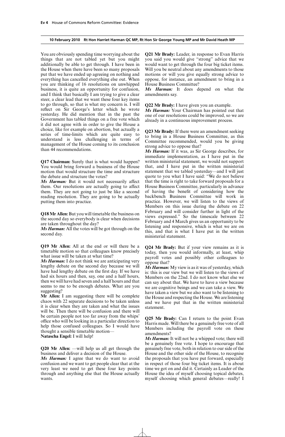You are obviously spending time worrying about the things that are not tabled yet but you might additionally be able to get through. I have been in the House when there have been so many proposals put that we have ended up agreeing on nothing and everything has cancelled everything else out. When you are thinking of 16 resolutions on unwhipped business, it is quite an opportunity for confusion, and I think that basically  $\overline{I}$  am trying to give a clear steer, a clear lead that we want these four key items to go through, so that is what my concern is. I will reflect on Sir George's letter which he wrote yesterday. He did mention that in the past the Government has tabled things on a free vote which it did not agree with in order to give the House a choice, like for example on abortion, but actually a series of time-limits which are quite easy to understand is less challenging in terms of management of the House coming to its conclusion than 44 recommendations.

**Q17 Chairman:** Surely that is what would happen? You would bring forward a business of the House motion that would structure the time and structure the debate and structure the votes?

Ms Harman: But it would not necessarily affect them. Our resolutions are actually going to affect them. They are not going to just be like a second reading resolution. They are going to be actually putting them into practice.

**Q18 Mr Allen:** But you will timetable the business on the second day so everybody is clear when decisions are taken throughout the day?

*Ms Harman:* All the votes will be got through on the second day.

**Q19 Mr Allen:** All at the end or will there be a timetable motion so that colleagues know precisely what issue will be taken at what time?

*Ms Harman:* I do not think we are anticipating very lengthy debate on the second day because we will have had lengthy debate on the first day. If we have had six hours and then, say, one and a half hours, then we will have had seven and a half hours and that seems to me to be enough debates. What are you suggesting?

**Mr Allen:** I am suggesting there will be complete chaos with 22 separate decisions to be taken unless it is clear when they are taken and what the issues will be. Then there will be confusion and there will be certain people not too far away from the whips' office who will be looking in a particular direction to help those confused colleagues. So I would have thought a sensible timetable motion—

**Natascha Engel:** I will help!

**Q20 Mr Allen:** —will help us all get through the business and deliver a decision of the House.

*Ms Harman:* I agree that we do want to avoid confusion and we want to get people clear that at the very least we need to get these four key points through and anything else that the House actually wants.

**Q21 Mr Brady:** Leader, in response to Evan Harris you said you would give "strong" advice that we would want to get through the four big ticket items. Will you be neutral about any amendments to those motions or will you give equally strong advice to oppose, for instance, an amendment to bring in a House Business Committee?

*Ms Harman:* It does depend on what the amendments say.

**Q22 Mr Brady:** I have given you an example.

*Ms Harman:* Your Chairman has pointed out that one of our resolutions could be improved, so we are already in a continuous improvement process.

**Q23 Mr Brady:** If there were an amendment seeking to bring in a House Business Committee, as this Committee recommended, would you be giving strong advice to oppose that?

*Ms Harman:* If it was, as Sir George describes, for immediate implementation, as I have put in the written ministerial statement, we would not support that, and I have put in the written ministerial statement that we tabled yesterday—and I will just quote to you what I have said: "We do not believe that the time is right to take forward proposals for a House Business Committee, particularly in advance of having the benefit of considering how the backbench Business Committee will work in practice. However, we will listen to the views of Members on this issue during the debate on 22 February and will consider further in light of the views expressed." So the timescale between 22 February and 4 March gives us an opportunity to be listening and responsive, which is what we are on this, and that is what I have put in the written ministerial statement.

**Q24 Mr Brady:** But if your view remains as it is today, then you would informally, at least, whip payroll votes and possibly other colleagues to oppose that?

*Ms Harman:* My view is as it was of yesterday, which is: this is our view but we will listen to the views of Members on the 22nd. I do not know what else we can say about that. We have to have a view because we are cognitive beings and we can take a view. We have taken a view but we also want to be listening to the House and respecting the House. We are listening and we have put that in the written ministerial statement.

**Q25 Mr Brady:** Can I return to the point Evan Harris made. Will there be a genuinely free vote of all Members including the payroll vote on these amendments?

*Ms Harman:* It will not be a whipped vote; there will be a genuinely free vote. I hope to encourage that genuinely free vote, both in relation to our side of the House and the other side of the House, to recognise the proposals that you have put forward, especially in respect of those four big ticket items. It is about time we got on and did it. Certainly as Leader of the House the idea of myself choosing topical debates, myself choosing which general debates—really! I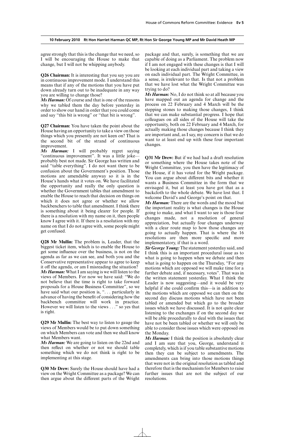agree strongly that this is the change that we need, so I will be encouraging the House to make that change, but I will not be whipping anybody.

**Q26 Chairman:** It is interesting that you say you are in continuous improvement mode. I understand this means that if any of the motions that you have put down already turn out to be inadequate in any way you are willing to change those?

*Ms Harman:* Of course and that is one of the reasons why we tabled them the day before yesterday in order to show our hand in order that you could come and say "this bit is wrong" or "that bit is wrong".

**Q27 Chairman:** You have taken the point about the House having an opportunity to take a view on those things which you presently are not keen on? That is the second bit of the strand of continuous improvement.

*Ms Harman:* I will probably regret saying "continuous improvement". It was a little joke probably best not made. Sir George has written and said "table everything". I do not want there to be confusion about the Government's position. Those motions are amendable anyway so it is in the House's hands what it votes on. We have facilitated the opportunity and really the only question is whether the Government tables that amendment to enable the House to reach that decision on things on which it does not agree or whether we allow backbenchers to table that amendment. I think there is something about it being clearer for people. If there is a resolution with my name on it, then people know I agree with it. If there is a resolution with my name on that I do not agree with, some people might get confused.

**Q28 Mr Mullin:** The problem is, Leader, that the biggest ticket item, which is to enable the House to get some influence over the business, is not on the agenda as far as we can see, and both you and the Conservative representative appear to agree to keep it off the agenda, or am I misreading the situation? *Ms Harman:* What I am saying is we will listen to the views of Members. For now we have said: "We do not believe that the time is right to take forward proposals for a House Business Committee", so we have said what our position is, "... particularly in advance of having the benefit of considering how the backbench committee will work in practice. However we will listen to the views . . ." so yes that is right.

**Q29 Mr Mullin:** The best way to listen to gauge the views of Members would be to put down something on which Members can vote and then we shall know what Members want.

*Ms Harman:* We are going to listen on the 22nd and then reflect on whether or not we should table something which we do not think is right to be implementing at this stage.

**Q30 Mr Drew:** Surely the House should have had a view on the Wright Committee as a package? We can then argue about the different parts of the Wright package and that, surely, is something that we are capable of doing as a Parliament. The problem now if I am not engaged with these changes is that I will be looking at each individual part and taking a view on each individual part. The Wright Committee, in a sense, is irrelevant to that. Is that not a problem that we have lost what the Wright Committee was trying to do?

*Ms Harman:* No, I do not think so at all because you have mapped out an agenda for change and the process on 22 February and 4 March will be the stepping stones to making those changes, I think that we can make substantial progress. I hope that colleagues on all sides of the House will take the opportunity, both on 22 February and 4 March, for actually making those changes because I think they are important and, as I say, my concern is that we do want to at least end up with these four important changes.

**Q31 Mr Drew:** But if we had had a draft resolution or something where the House takes note of the Wright Committee, you then have the legitimacy of the House, if it has voted for the Wright package. You can argue about different bits and whether it wants a Business Committee in the form that we envisaged it, but at least you have got that as a backcloth to the whole debate. We have lost that. I welcome David's and George's point on that.

*Ms Harman:* There are the words and the mood but the important reality is what changes is the House going to make, and what I want to see is those four changes made, not a resolution of general appreciation, but actually four changes underway with a clear route map to how those changes are going to actually happen. That is where the 16 resolutions are then more specific and more implementatory, if that is a word.

*Sir George Young:* The statement yesterday said, and I think this is an important procedural issue as to what is going to happen when we debate and then what is going to happen on the Thursday, "For any motions which are opposed we will make time for a further debate and, if necessary, votes". That was in the written statement yesterday. What I think the Leader is now suggesting—and it would be very helpful if she could confirm this—is in addition to the motions which are opposed we can then on the second day discuss motions which have not been tabled or amended but which go to the broader issues which we have discussed. It is not quite clear listening to the exchanges if on the second day we will be able procedurally to deal with the issues that have not be been tabled or whether we will only be able to consider those issues which were opposed on the Monday.

*Ms Harman:* I think the position is absolutely clear and I am sure that you, George, understand it completely, which is if you table substantive motions then they can be subject to amendments. The amendments can bring into those motions things that were not in the original resolution as tabled and therefore that is the mechanism for Members to raise further issues that are not the subject of our resolutions.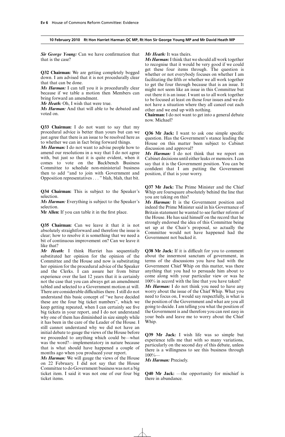*Sir George Young:* Can we have confirmation that that is the case?

**Q32 Chairman:** We are getting completely bogged down. I am advised that it is not procedurally clear that that can be done.

*Ms Harman:* I can tell you it is procedurally clear because if we table a motion then Members can bring forward an amendment.

*Mr Heath:* Oh, I wish that were true.

*Ms Harman:* And that will able to be debated and voted on.

**Q33 Chairman:** I do not want to say that my procedural advice is better than yours but can we just agree that there is an issue to be resolved here as to whether we can in fact bring forward things.

*Ms Harman:* I do not want to advise people how to amend our resolutions in a way that I do not agree with, but just so that it is quite evident, when it comes to vote on the Backbench Business Committee to schedule non-ministerial business then to add "and to join with Government and Opposition representatives . . . " blah, blah, that bit.

**Q34 Chairman:** This is subject to the Speaker's selection.

*Ms Harman:* Everything is subject to the Speaker's selection.

**Mr Allen:** If you can table it in the first place.

**Q35 Chairman:** Can we leave it that it is not absolutely straightforward and therefore the issue is clear; how to resolve it is something that we need a bit of continuous improvement on? Can we leave it like that?

*Mr Heath:* I think Harriet has sequentially substituted her opinion for the opinion of the Committee and the House and now is substituting her opinion for the procedural advice of the Speaker and the Clerks. I can assure her from bitter experience over the last 12 years that it is certainly not the case that you can always get an amendment tabled and selected to a Government motion at will. There are considerable difficulties there. I still do not understand this basic concept of "we have decided these are the four big ticket numbers", which we keep getting repeated, when I can certainly see five big tickets in your report, and I do not understand why one of them has diminished in size simply while it has been in the care of the Leader of the House. I still cannot understand why we did not have an initial debate to gauge the views of the House before we proceeded to anything which could be—what was the word?—implementatory in nature because that is what should have happened a couple of months ago when you produced your report.

*Ms Harman:* We will gauge the views of the House on 22 February. I did not say that the House Committee to do Government business was not a big ticket item. I said it was not one of our four big ticket items.

*Mr Heath:* It was theirs.

*Ms Harman:*I think that we should all work together to recognise that it would be very good if we could get these four items through. The question is whether or not everybody focuses on whether I am facilitating the fifth or whether we all work together to get the four through because that is an issue. It might not seem like an issue in this Committee but out there it is an issue. I want us to all work together to be focused at least on those four issues and we do not have a situation where they all cancel out each other and we end up with nothing.

**Chairman:** I do not want to get into a general debate now. Michael?

**Q36 Mr Jack:** I want to ask one simple specific question. Has the Government's stance leading the House on this matter been subject to Cabinet discussion and approval?

*Ms Harman:* I do not think that we report on Cabinet decisions until either leaks or memoirs. I can say that it is the Government position. You can be confident that I am putting the Government position, if that is your worry.

**Q37 Mr Jack:** The Prime Minister and the Chief Whip are foursquare absolutely behind the line that you are taking on this?

*Ms Harman:* It is the Government position and indeed the Prime Minister said in his Governance of Britain statement he wanted to see further reform of the House. He has said himself on the record that he strongly endorsed the idea of this Committee being set up at the Chair's proposal, so actually the Committee would not have happened had the Government not backed it.

**Q38 Mr Jack:** If it is difficult for you to comment about the innermost sanctum of government, in terms of the discussions you have had with the Government Chief Whip on this matter, was there anything that you had to persuade him about to come along with your particular view or was he 100% in accord with the line that you have taken? *Ms Harman:* I do not think you need to have any worry about the issue of the Chief Whip. What you need to focus on, I would say respectfully, is what is the position of the Government and what are you all going to decide. I am telling you what the position of the Government is and therefore you can rest easy in your beds and leave me to worry about the Chief Whip.

**Q39 Mr Jack:** I wish life was so simple but experience tells me that with so many variations, particularly on the second day of this debate, unless there is a willingness to see this business through 100%—

*Ms Harman:* Precisely.

**Q40 Mr Jack:** —the opportunity for mischief is there in abundance.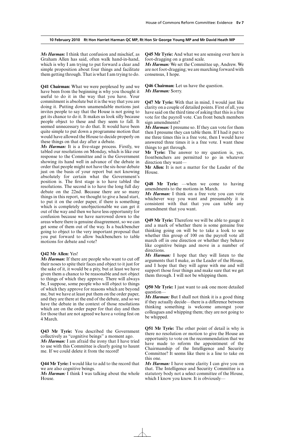*Ms Harman:* I think that confusion and mischief, as Graham Allen has said, often walk hand-in-hand, which is why I am trying to put forward a clear and simple proposition about four things and facilitate them getting through. That is what I am trying to do.

**Q41 Chairman:** What we were perplexed by and we have been from the beginning is why you thought it useful to do it in the way that you have. Your commitment is absolute but it is the way that you are doing it. Putting down unamendable motions just invites people to say that the House is not going to get its chance to do it. It makes us look silly because people object to these and they seem to fall. It seemed unnecessary to do that. It would have been quite simple to put down a programme motion that would have allowed the House to decide properly on these things on that day after a debate.

*Ms Harman:* It is a five-stage process. Firstly, we tabled our resolutions on Monday, which is like our response to the Committee and is the Government showing its hand well in advance of the debate in order that people might not have the six-hour debate just on the basis of your report but not knowing absolutely for certain what the Government's position is. The first stage is to have tabled the resolutions. The second is to have the long full day debate on the 22nd. Because there are so many things in this report, we thought to give a head start, to put it on the order paper, if there is something which is completely unobjectionable we can get it out of the way and then we have less opportunity for confusion because we have narrowed down to the areas where there is genuine disagreement, so we can get some of them out of the way. Is a backbencher going to object to the very important proposal that you put forward to allow backbenchers to table motions for debate and vote?

#### **Q42 Mr Allen:** Yes!

*Ms Harman:* If there are people who want to cut off their noses to spite their faces and object to it just for the sake of it, it would be a pity, but at least we have given them a chance to be reasonable and not object to things of which they approve. There will always be, I suppose, some people who will object to things of which they approve for reasons which are beyond me, but we have at least put them on the order paper, and they are there at the end of the debate, and so we have the debate in the context of those resolutions which are on the order paper for that day and then for those that are not agreed we have a voting fest on 4 March.

**Q43 Mr Tyrie:** You described the Government collectively as "cognitive beings" a moment ago. *Ms Harman:* I am afraid the irony that I have tried to use with this Committee is clearly going to haunt

me. If we could delete it from the record!

**Q44 Mr Tyrie:** I would like to add to the record that we are also cognitive beings.

*Ms Harman:* I think I was talking about the whole House.

**Q45 Mr Tyrie:** And what we are sensing over here is foot-dragging on a grand scale.

*Ms Harman:* We set the Committee up, Andrew. We are not foot-dragging; we are marching forward with consensus, I hope.

**Q46 Chairman:** Let us have the question. *Ms Harman:* Sorry.

**Q47 Mr Tyrie:** With that in mind, I would just like clarity on a couple of detailed points. First of all, you have said on the third time of asking that this is a free vote for the payroll vote. Can front bench members sign amendments?

*Ms Harman:* I presume so. If they can vote for them then I presume they can table them. If I had it put to me three times this is a free vote, then I would have answered three times it is a free vote. I want these things to get through.

**Mr Tyrie:** The answer to my question is, yes, frontbenchers are permitted to go in whatever direction they want—

**Mr Allen:** It is not a matter for the Leader of the House.

**Q48 Mr Tyrie:** —when we come to having amendments to the motions in March.

*Ms Harman:* I think on a free vote you can vote whichever way you want and presumably it is consistent with that that you can table any amendment that you want.

**Q49 Mr Tyrie:** Therefore we will be able to gauge it and a mark of whether there is some genuine free thinking going on will be to take a look to see whether this group of 100 on the payroll vote all march off in one direction or whether they behave like cognitive beings and move in a number of directions.

*Ms Harman:* I hope that they will listen to the arguments that I make, as the Leader of the House, and I hope that they will agree with me and will support those four things and make sure that we get them through. I will not be whipping them.

**Q50 Mr Tyrie:** I just want to ask one more detailed question—

*Ms Harman:* But I shall not think it is a good thing if they actually decide—there is a difference between thinking something is welcome amongst your colleagues and whipping them; they are not going to be whipped.

**Q51 Mr Tyrie:** The other point of detail is why is there no resolution or motion to give the House an opportunity to vote on the recommendation that we have made to reform the appointment of the Chairmanship of the Intelligence and Security Committee? It seems like there is a line to take on this one.

*Ms Harman:* I have some clarity I can give you on that. The Intelligence and Security Committee is a statutory body not a select committee of the House, which I know you know. It is obviously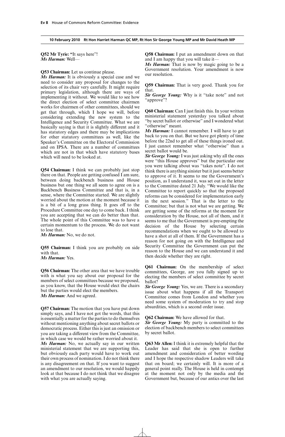**Q52 Mr Tyrie: "**It says here"! *Ms Harman:* Well—

**Q53 Chairman:** Let us continue please.

*Ms Harman:* It is obviously a special case and we need to consider any proposal for changes to the selection of its chair very carefully. It might require primary legislation, although there are ways of implementing it without. We would like to see how the direct election of select committee chairmen works for chairmen of other committees, should we get that through, which I hope we will, before considering extending the new system to the Intelligence and Security Committee. What we are basically saying is that it is slightly different and it has statutory edges and there may be implications for other statutory committees as well, like the Speaker's Committee on the Electoral Commission and on IPSA. There are a number of committees which are not in that which have statutory bases which will need to be looked at.

**Q54 Chairman:** I think we can probably just stop there on that. People are getting confused I am sure, between doing backbench business and House business but one thing we all seem to agree on is a Backbench Business Committee and that is, in a sense, where the Committee started. We are slightly worried about the motion at the moment because it is a bit of a long grass thing. It goes off to the Procedure Committee one day to come back. I think you are accepting that we can do better than that. The whole point of this Committee was to have a certain momentum to the process. We do not want to lose that.

*Ms Harman:* No, we do not.

**Q55 Chairman:** I think you are probably on side with that. *Ms Harman:* Yes.

**Q56 Chairman:** The other area that we have trouble with is what you say about our proposal for the members of select committees because we proposed, as you know, that the House would elect the chairs but the parties would elect the members. *Ms Harman:* And we agreed.

**Q57 Chairman:** The motion that you have put down simply says, and I have not got the words, that this is essentially a matter for the parties to do themselves without mentioning anything about secret ballots or democratic process. Either this is just an omission or you are taking a different view from the Committee, in which case we would be rather worried about it. *Ms Harman:* No, we actually say in our written ministerial statement that we are supporting this, but obviously each party would have to work out their own process of nomination. I do not think there is any disagreement on that. If you want to suggest an amendment to our resolution, we would happily look at that because I do not think that we disagree with what you are actually saying.

**Q58 Chairman:** I put an amendment down on that and I am happy that you will take it—

*Ms Harman:* That is now by magic going to be a Government resolution. Your amendment is now our resolution.

**Q59 Chairman:** That is very good. Thank you for that.

*Sir George Young:* Why is it "take note" and not "approve"?

**Q60 Chairman:** Can I just finish this. In your written ministerial statement yesterday you talked about "by secret ballot or otherwise" and I wondered what "otherwise" meant.

*Ms Harman:* I cannot remember. I will have to get back to you on that. But we have got plenty of time before the 22nd to get all of these things ironed out. I just cannot remember what "otherwise" than a secret ballot would be.

*Sir George Young:* I was just asking why all the ones were "this House approves" but the particular one you were talking about was "takes note". I do not think there is anything sinister but it just seems better to approve of it. It seems to me the Government's position, as I understand it, was set out in the letter to the Committee dated 21 July. "We would like the Committee to report quickly so that the proposed reforms can be considered for implementation early in the next session." That is the letter to the Committee; but that is not what we are getting. We are getting some of the reforms at the moment for consideration by the House, not all of them, and it seems to me that the Government is pre-empting the decision of the House by selecting certain recommendations when we ought to be allowed to have a shot at all of them. If the Government has a reason for not going on with the Intelligence and Security Committee the Government can put the reason to the House and we can understand it and then decide whether they are right.

**Q61 Chairman:** On the membership of select committees, George, are you fully signed up to electing the members of select committee by secret ballot?

*Sir George Young:* Yes, we are. There is a secondary issue about what happens if all the Transport Committee comes from London and whether you need some system of moderation to try and stop absurdities, which is a second order issue.

**Q62 Chairman:** We have allowed for that.

*Sir George Young:* My party is committed to the election of backbench members to select committees by secret ballot.

**Q63 Mr Allen:** I think it is extremely helpful that the Leader has said that she is open to further amendment and consideration of better wording and I hope the respective shadow Leaders will take that on board; we certainly will. It is more of a general point really. The House is held in contempt at the moment not only by the media and the Government but, because of our antics over the last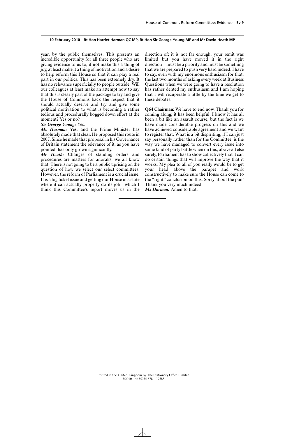year, by the public themselves. This presents an incredible opportunity for all three people who are giving evidence to us to, if not make this a thing of joy, at least make it a thing of motivation and a desire to help reform this House so that it can play a real part in our politics. This has been extremely dry. It has no relevance superficially to people outside. Will our colleagues at least make an attempt now to say that this is clearly part of the package to try and give the House of Commons back the respect that it should actually deserve and try and give some political motivation to what is becoming a rather tedious and procedurally bogged down effort at the moment? Yes or no?

#### *Sir George Young:* Yes.

*Ms Harman:* Yes, and the Prime Minister has absolutely made that clear. He proposed this route in 2007. Since he made that proposal in his Governance of Britain statement the relevance of it, as you have pointed, has only grown significantly.

*Mr Heath:* Changes of standing orders and procedures are matters for anoraks; we all know that. There is not going to be a public uprising on the question of how we select our select committees. However, the reform of Parliament is a crucial issue. It is a big ticket issue and getting our House in a state where it can actually properly do its job—which I think this Committee's report moves us in the direction of; it is not far enough, your remit was limited but you have moved it in the right direction—must be a priority and must be something that we are prepared to push very hard indeed. I have to say, even with my enormous enthusiasm for that, the last two months of asking every week at Business Questions when we were going to have a resolution has rather dented my enthusiasm and I am hoping that I will recuperate a little by the time we get to these debates.

**Q64 Chairman:** We have to end now. Thank you for coming along; it has been helpful. I know it has all been a bit like an assault course, but the fact is we have made considerable progress on this and we have achieved considerable agreement and we want to register that. What is a bit dispiriting, if I can just say personally rather than for the Committee, is the way we have managed to convert every issue into some kind of party battle when on this, above all else surely, Parliament has to show collectively that it can do certain things that will improve the way that it works. My plea to all of you really would be to get your head above the parapet and work constructively to make sure the House can come to the "right" conclusion on this. Sorry about the pun! Thank you very much indeed.

*Ms Harman:* Amen to that.